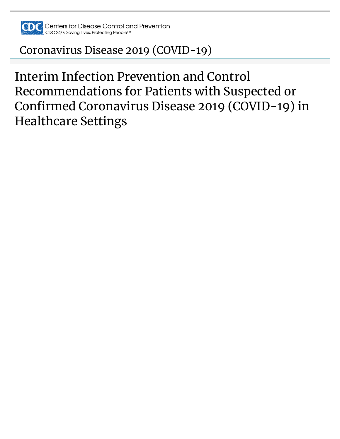

# [Coronavirus Disease 2019 \(COVID-19\)](https://www.cdc.gov/coronavirus/2019-nCoV/index.html)

Interim Infection Prevention and Control Recommendations for Patients with Suspected or Confirmed Coronavirus Disease 2019 (COVID-19) in Healthcare Settings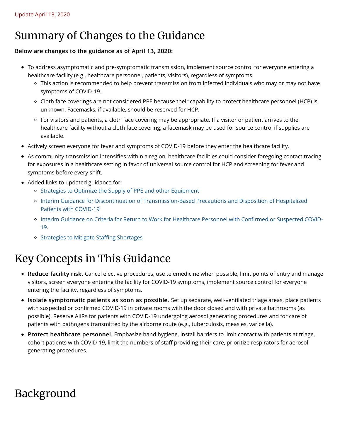# Summary of Changes to the Guidance

#### Below are changes to the guidance as of April 13, 2020:

- To address asymptomatic and pre-symptomatic transmission, implement source control for everyone entering a healthcare facility (e.g., healthcare personnel, patients, visitors), regardless of symptoms.
	- This action is recommended to help prevent transmission from infected individuals who may or may not have symptoms of COVID-19.
	- Cloth face coverings are not considered PPE because their capability to protect healthcare personnel (HCP) is unknown. Facemasks, if available, should be reserved for HCP.
	- For visitors and patients, a cloth face covering may be appropriate. If a visitor or patient arrives to the healthcare facility without a cloth face covering, a facemask may be used for source control if supplies are available.
- Actively screen everyone for fever and symptoms of COVID-19 before they enter the healthcare facility.
- As community transmission intensifies within a region, healthcare facilities could consider foregoing contact tracing for exposures in a healthcare setting in favor of universal source control for HCP and screening for fever and symptoms before every shift.
- Added links to updated guidance for:
	- o [Strategies to Optimize the Supply of PPE and other Equipment](https://www.cdc.gov/coronavirus/2019-ncov/hcp/ppe-strategy/index.html)
	- [Interim Guidance for Discontinuation of Transmission-Based Precautions and Disposition of Hospitalized](https://www.cdc.gov/coronavirus/2019-ncov/hcp/disposition-hospitalized-patients.html) Patients with COVID-19
	- [Interim Guidance on Criteria for Return to Work for Healthcare Personnel with Con](https://www.cdc.gov/coronavirus/2019-ncov/healthcare-facilities/hcp-return-work.html)firmed or Suspected COVID-19.
	- o [Strategies to Mitigate Sta](https://www.cdc.gov/coronavirus/2019-ncov/hcp/mitigating-staff-shortages.html)ffing Shortages

# Key Concepts in This Guidance

- Reduce facility risk. Cancel elective procedures, use telemedicine when possible, limit points of entry and manage visitors, screen everyone entering the facility for COVID-19 symptoms, implement source control for everyone entering the facility, regardless of symptoms.
- Isolate symptomatic patients as soon as possible. Set up separate, well-ventilated triage areas, place patients with suspected or confirmed COVID-19 in private rooms with the door closed and with private bathrooms (as possible). Reserve AIIRs for patients with COVID-19 undergoing aerosol generating procedures and for care of patients with pathogens transmitted by the airborne route (e.g., tuberculosis, measles, varicella).
- Protect healthcare personnel. Emphasize hand hygiene, install barriers to limit contact with patients at triage, cohort patients with COVID-19, limit the numbers of staff providing their care, prioritize respirators for aerosol generating procedures.

## Background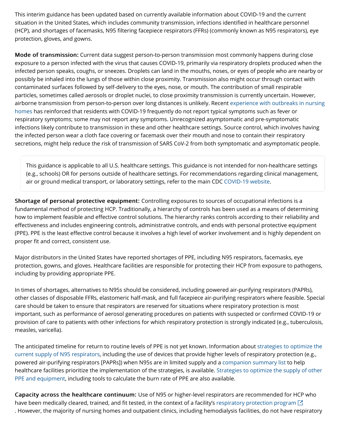This interim guidance has been updated based on currently available information about COVID-19 and the current situation in the United States, which includes community transmission, infections identified in healthcare personnel (HCP), and shortages of facemasks, N95 filtering facepiece respirators (FFRs) (commonly known as N95 respirators), eye protection, gloves, and gowns.

Mode of transmission: Current data suggest person-to-person transmission most commonly happens during close exposure to a person infected with the virus that causes COVID-19, primarily via respiratory droplets produced when the infected person speaks, coughs, or sneezes. Droplets can land in the mouths, noses, or eyes of people who are nearby or possibly be inhaled into the lungs of those within close proximity. Transmission also might occur through contact with contaminated surfaces followed by self-delivery to the eyes, nose, or mouth. The contribution of small respirable particles, sometimes called aerosols or droplet nuclei, to close proximity transmission is currently uncertain. However, [airborne transmission from person-to-person over long distances is unlikely. Recent experience with outbreaks in nursing](https://www.cdc.gov/mmwr/volumes/69/wr/mm6913e1.htm) homes has reinforced that residents with COVID-19 frequently do not report typical symptoms such as fever or respiratory symptoms; some may not report any symptoms. Unrecognized asymptomatic and pre-symptomatic infections likely contribute to transmission in these and other healthcare settings. Source control, which involves having the infected person wear a cloth face covering or facemask over their mouth and nose to contain their respiratory secretions, might help reduce the risk of transmission of SARS CoV-2 from both symptomatic and asymptomatic people.

This guidance is applicable to all U.S. healthcare settings. This guidance is not intended for non-healthcare settings (e.g., schools) OR for persons outside of healthcare settings. For recommendations regarding clinical management, air or ground medical transport, or laboratory settings, refer to the main CDC [COVID-19 website](https://www.cdc.gov/coronavirus/2019-ncov/hcp/index.html).

Shortage of personal protective equipment: Controlling exposures to sources of occupational infections is a fundamental method of protecting HCP. Traditionally, a hierarchy of controls has been used as a means of determining how to implement feasible and effective control solutions. The hierarchy ranks controls according to their reliability and effectiveness and includes engineering controls, administrative controls, and ends with personal protective equipment (PPE). PPE is the least effective control because it involves a high level of worker involvement and is highly dependent on proper fit and correct, consistent use.

Major distributors in the United States have reported shortages of PPE, including N95 respirators, facemasks, eye protection, gowns, and gloves. Healthcare facilities are responsible for protecting their HCP from exposure to pathogens, including by providing appropriate PPE.

In times of shortages, alternatives to N95s should be considered, including powered air-purifying respirators (PAPRs), other classes of disposable FFRs, elastomeric half-mask, and full facepiece air-purifying respirators where feasible. Special care should be taken to ensure that respirators are reserved for situations where respiratory protection is most important, such as performance of aerosol generating procedures on patients with suspected or confirmed COVID-19 or provision of care to patients with other infections for which respiratory protection is strongly indicated (e.g., tuberculosis, measles, varicella).

[The anticipated timeline for return to routine levels of PPE is not yet known. Information about strategies to optimize the](https://www.cdc.gov/coronavirus/2019-ncov/hcp/respirator-supply-strategies.html) current supply of N95 respirators, including the use of devices that provide higher levels of respiratory protection (e.g., powered air-purifying respirators [PAPRs]) when N95s are in limited supply and a [companion summary list](https://www.cdc.gov/coronavirus/2019-ncov/hcp/checklist-n95-strategy.html) to help [healthcare facilities prioritize the implementation of the strategies, is available. Strategies to optimize the supply of other](https://www.cdc.gov/coronavirus/2019-ncov/hcp/ppe-strategy/index.html) PPE and equipment, including tools to calculate the burn rate of PPE are also available.

Capacity across the healthcare continuum: Use of N95 or higher-level respirators are recommended for HCP who have been medically cleared, trained, and fit tested, in the context of a facility's [respiratory protection program](https://www.osha.gov/laws-regs/regulations/standardnumber/1910/1910.134)  $\boxdot$ . However, the majority of nursing homes and outpatient clinics, including hemodialysis facilities, do not have respiratory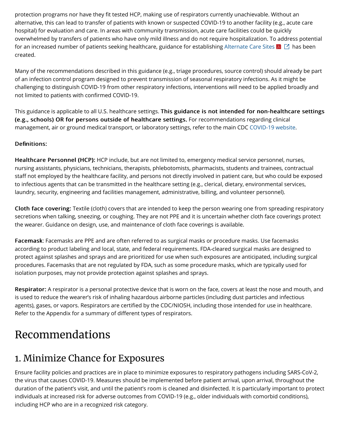protection programs nor have they fit tested HCP, making use of respirators currently unachievable. Without an alternative, this can lead to transfer of patients with known or suspected COVID-19 to another facility (e.g., acute care hospital) for evaluation and care. In areas with community transmission, acute care facilities could be quickly overwhelmed by transfers of patients who have only mild illness and do not require hospitalization. To address potential for an increased number of patients seeking healthcare, guidance for establishing [Alternate Care Sites](https://files.asprtracie.hhs.gov/documents/acs-toolkit-ed1-20200330-1022.pdf)  $\blacktriangle\Box$  has been created.

Many of the recommendations described in this guidance (e.g., triage procedures, source control) should already be part of an infection control program designed to prevent transmission of seasonal respiratory infections. As it might be challenging to distinguish COVID-19 from other respiratory infections, interventions will need to be applied broadly and not limited to patients with confirmed COVID-19.

This guidance is applicable to all U.S. healthcare settings. This guidance is not intended for non-healthcare settings (e.g., schools) OR for persons outside of healthcare settings. For recommendations regarding clinical management, air or ground medical transport, or laboratory settings, refer to the main CDC [COVID-19 website](https://www.cdc.gov/coronavirus/2019-ncov/hcp/index.html).

#### Definitions:

Healthcare Personnel (HCP): HCP include, but are not limited to, emergency medical service personnel, nurses, nursing assistants, physicians, technicians, therapists, phlebotomists, pharmacists, students and trainees, contractual staff not employed by the healthcare facility, and persons not directly involved in patient care, but who could be exposed to infectious agents that can be transmitted in the healthcare setting (e.g., clerical, dietary, environmental services, laundry, security, engineering and facilities management, administrative, billing, and volunteer personnel).

Cloth face covering: Textile (cloth) covers that are intended to keep the person wearing one from spreading respiratory secretions when talking, sneezing, or coughing. They are not PPE and it is uncertain whether cloth face coverings protect the wearer. Guidance on design, use, and maintenance of cloth face coverings is available.

Facemask: Facemasks are PPE and are often referred to as surgical masks or procedure masks. Use facemasks according to product labeling and local, state, and federal requirements. FDA-cleared surgical masks are designed to protect against splashes and sprays and are prioritized for use when such exposures are anticipated, including surgical procedures. Facemasks that are not regulated by FDA, such as some procedure masks, which are typically used for isolation purposes, may not provide protection against splashes and sprays.

Respirator: A respirator is a personal protective device that is worn on the face, covers at least the nose and mouth, and is used to reduce the wearer's risk of inhaling hazardous airborne particles (including dust particles and infectious agents), gases, or vapors. Respirators are certified by the CDC/NIOSH, including those intended for use in healthcare. Refer to the Appendix for a summary of different types of respirators.

## Recommendations

### 1. Minimize Chance for Exposures

Ensure facility policies and practices are in place to minimize exposures to respiratory pathogens including SARS-CoV-2, the virus that causes COVID-19. Measures should be implemented before patient arrival, upon arrival, throughout the duration of the patient's visit, and until the patient's room is cleaned and disinfected. It is particularly important to protect individuals at increased risk for adverse outcomes from COVID-19 (e.g., older individuals with comorbid conditions), including HCP who are in a recognized risk category.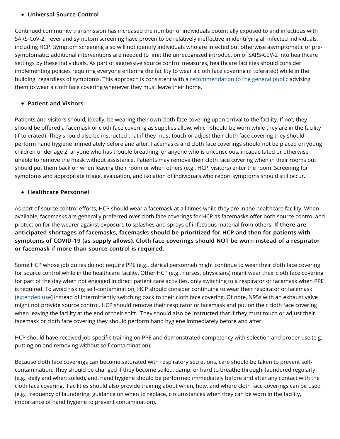#### • Universal Source Control

Continued community transmission has increased the number of individuals potentially exposed to and infectious with SARS-CoV-2. Fever and symptom screening have proven to be relatively ineffective in identifying all infected individuals, including HCP. Symptom screening also will not identify individuals who are infected but otherwise asymptomatic or presymptomatic; additional interventions are needed to limit the unrecognized introduction of SARS-CoV-2 into healthcare settings by these individuals. As part of aggressive source control measures, healthcare facilities should consider implementing policies requiring everyone entering the facility to wear a cloth face covering (if tolerated) while in the building, regardless of symptoms. This approach is consistent with a [recommendation to the general public](https://www.cdc.gov/coronavirus/2019-ncov/prevent-getting-sick/diy-cloth-face-coverings.html) advising them to wear a cloth face covering whenever they must leave their home.

#### • Patient and Visitors

Patients and visitors should, ideally, be wearing their own cloth face covering upon arrival to the facility. If not, they should be offered a facemask or cloth face covering as supplies allow, which should be worn while they are in the facility (if tolerated). They should also be instructed that if they must touch or adjust their cloth face covering they should perform hand hygiene immediately before and after. Facemasks and cloth face coverings should not be placed on young children under age 2, anyone who has trouble breathing, or anyone who is unconscious, incapacitated or otherwise unable to remove the mask without assistance. Patients may remove their cloth face covering when in their rooms but should put them back on when leaving their room or when others (e.g., HCP, visitors) enter the room. Screening for symptoms and appropriate triage, evaluation, and isolation of individuals who report symptoms should still occur.

#### $\bullet$  Healthcare Personnel

As part of source control efforts, HCP should wear a facemask at all times while they are in the healthcare facility. When available, facemasks are generally preferred over cloth face coverings for HCP as facemasks offer both source control and protection for the wearer against exposure to splashes and sprays of infectious material from others. If there are anticipated shortages of facemasks, facemasks should be prioritized for HCP and then for patients with symptoms of COVID-19 (as supply allows). Cloth face coverings should NOT be worn instead of a respirator or facemask if more than source control is required.

Some HCP whose job duties do not require PPE (e.g., clerical personnel) might continue to wear their cloth face covering for source control while in the healthcare facility. Other HCP (e.g., nurses, physicians) might wear their cloth face covering for part of the day when not engaged in direct patient care activities, only switching to a respirator or facemask when PPE is required. To avoid risking self-contamination, HCP should consider continuing to wear their respirator or facemask ([extended use\)](https://www.cdc.gov/coronavirus/2019-ncov/hcp/ppe-strategy/index.html) instead of intermittently switching back to their cloth face covering. Of note, N95s with an exhaust valve might not provide source control. HCP should remove their respirator or facemask and put on their cloth face covering when leaving the facility at the end of their shift. They should also be instructed that if they must touch or adjust their facemask or cloth face covering they should perform hand hygiene immediately before and after.

HCP should have received job-specific training on PPE and demonstrated competency with selection and proper use (e.g., putting on and removing without self-contamination).

Because cloth face coverings can become saturated with respiratory secretions, care should be taken to prevent selfcontamination. They should be changed if they become soiled, damp, or hard to breathe through, laundered regularly (e.g., daily and when soiled), and, hand hygiene should be performed immediately before and after any contact with the cloth face covering. Facilities should also provide training about when, how, and where cloth face coverings can be used (e.g., frequency of laundering, guidance on when to replace, circumstances when they can be worn in the facility, importance of hand hygiene to prevent contamination).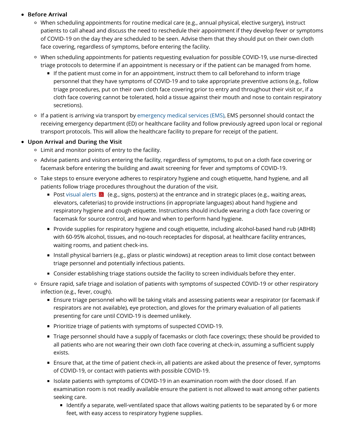#### **• Before Arrival**

- When scheduling appointments for routine medical care (e.g., annual physical, elective surgery), instruct patients to call ahead and discuss the need to reschedule their appointment if they develop fever or symptoms of COVID-19 on the day they are scheduled to be seen. Advise them that they should put on their own cloth face covering, regardless of symptoms, before entering the facility.
- When scheduling appointments for patients requesting evaluation for possible COVID-19, use nurse-directed triage protocols to determine if an appointment is necessary or if the patient can be managed from home.
	- If the patient must come in for an appointment, instruct them to call beforehand to inform triage personnel that they have symptoms of COVID-19 and to take appropriate preventive actions (e.g., follow triage procedures, put on their own cloth face covering prior to entry and throughout their visit or, if a cloth face covering cannot be tolerated, hold a tissue against their mouth and nose to contain respiratory secretions).
- If a patient is arriving via transport by [emergency medical services \(EMS\)](https://www.cdc.gov/coronavirus/2019-ncov/hcp/guidance-for-ems.html), EMS personnel should contact the receiving emergency department (ED) or healthcare facility and follow previously agreed upon local or regional transport protocols. This will allow the healthcare facility to prepare for receipt of the patient.

#### • Upon Arrival and During the Visit

- Limit and monitor points of entry to the facility.
- Advise patients and visitors entering the facility, regardless of symptoms, to put on a cloth face covering or facemask before entering the building and await screening for fever and symptoms of COVID-19.
- o Take steps to ensure everyone adheres to respiratory hygiene and cough etiquette, hand hygiene, and all patients follow triage procedures throughout the duration of the visit.
	- Post [visual alerts](https://www.cdc.gov/flu/pdf/protect/cdc_cough.pdf)  $\blacktriangleright$  (e.g., signs, posters) at the entrance and in strategic places (e.g., waiting areas, elevators, cafeterias) to provide instructions (in appropriate languages) about hand hygiene and respiratory hygiene and cough etiquette. Instructions should include wearing a cloth face covering or facemask for source control, and how and when to perform hand hygiene.
	- Provide supplies for respiratory hygiene and cough etiquette, including alcohol-based hand rub (ABHR) with 60-95% alcohol, tissues, and no-touch receptacles for disposal, at healthcare facility entrances, waiting rooms, and patient check-ins.
	- Install physical barriers (e.g., glass or plastic windows) at reception areas to limit close contact between triage personnel and potentially infectious patients.
	- **Consider establishing triage stations outside the facility to screen individuals before they enter.**
- Ensure rapid, safe triage and isolation of patients with symptoms of suspected COVID-19 or other respiratory infection (e.g., fever, cough).
	- Ensure triage personnel who will be taking vitals and assessing patients wear a respirator (or facemask if respirators are not available), eye protection, and gloves for the primary evaluation of all patients presenting for care until COVID-19 is deemed unlikely.
	- **Prioritize triage of patients with symptoms of suspected COVID-19.**
	- Triage personnel should have a supply of facemasks or cloth face coverings; these should be provided to all patients who are not wearing their own cloth face covering at check-in, assuming a sufficient supply exists.
	- Ensure that, at the time of patient check-in, all patients are asked about the presence of fever, symptoms of COVID-19, or contact with patients with possible COVID-19.
	- Isolate patients with symptoms of COVID-19 in an examination room with the door closed. If an examination room is not readily available ensure the patient is not allowed to wait among other patients seeking care.
		- Identify a separate, well-ventilated space that allows waiting patients to be separated by 6 or more feet, with easy access to respiratory hygiene supplies.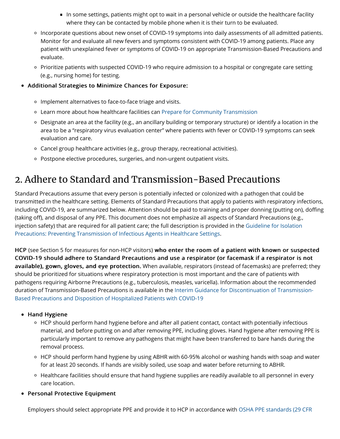- In some settings, patients might opt to wait in a personal vehicle or outside the healthcare facility where they can be contacted by mobile phone when it is their turn to be evaluated.
- Incorporate questions about new onset of COVID-19 symptoms into daily assessments of all admitted patients. Monitor for and evaluate all new fevers and symptoms consistent with COVID-19 among patients. Place any patient with unexplained fever or symptoms of COVID-19 on appropriate Transmission-Based Precautions and evaluate.
- Prioritize patients with suspected COVID-19 who require admission to a hospital or congregate care setting (e.g., nursing home) for testing.
- Additional Strategies to Minimize Chances for Exposure:
	- o Implement alternatives to face-to-face triage and visits.
	- Learn more about how healthcare facilities can [Prepare for Community Transmission](https://www.cdc.gov/coronavirus/2019-ncov/healthcare-facilities/guidance-hcf.html)
	- $\circ$  Designate an area at the facility (e.g., an ancillary building or temporary structure) or identify a location in the area to be a "respiratory virus evaluation center" where patients with fever or COVID-19 symptoms can seek evaluation and care.
	- $\circ$  Cancel group healthcare activities (e.g., group therapy, recreational activities).
	- o Postpone elective procedures, surgeries, and non-urgent outpatient visits.

## 2. Adhere to Standard and Transmission-Based Precautions

Standard Precautions assume that every person is potentially infected or colonized with a pathogen that could be transmitted in the healthcare setting. Elements of Standard Precautions that apply to patients with respiratory infections, including COVID-19, are summarized below. Attention should be paid to training and proper donning (putting on), doffing (taking off), and disposal of any PPE. This document does not emphasize all aspects of Standard Precautions (e.g., [injection safety\) that are required for all patient care; the full description is provided in the Guideline for Isolation](https://www.cdc.gov/infectioncontrol/guidelines/isolation/) Precautions: Preventing Transmission of Infectious Agents in Healthcare Settings.

HCP (see Section 5 for measures for non-HCP visitors) who enter the room of a patient with known or suspected COVID-19 should adhere to Standard Precautions and use a respirator (or facemask if a respirator is not COVID-19 should adhere to Standard Precautions and use a respirator (or facemask if a respirator is not available), gown, gloves, and eye protection. When available, respirators (instead of facemasks) are preferred; they should be prioritized for situations where respiratory protection is most important and the care of patients with pathogens requiring Airborne Precautions (e.g., tuberculosis, measles, varicella). Information about the recommended [duration of Transmission-Based Precautions is available in the Interim Guidance for Discontinuation of Transmission-](https://www.cdc.gov/coronavirus/2019-ncov/hcp/disposition-hospitalized-patients.html)Based Precautions and Disposition of Hospitalized Patients with COVID-19

#### • Hand Hygiene

- HCP should perform hand hygiene before and after all patient contact, contact with potentially infectious material, and before putting on and after removing PPE, including gloves. Hand hygiene after removing PPE is particularly important to remove any pathogens that might have been transferred to bare hands during the removal process.
- HCP should perform hand hygiene by using ABHR with 60-95% alcohol or washing hands with soap and water for at least 20 seconds. If hands are visibly soiled, use soap and water before returning to ABHR.
- Healthcare facilities should ensure that hand hygiene supplies are readily available to all personnel in every care location.
- Personal Protective Equipment

[Employers should select appropriate PPE and provide it to HCP in accordance with OSHA PPE standards \(29 CFR](https://www.osha.gov/laws-regs/regulations/standardnumber/1910)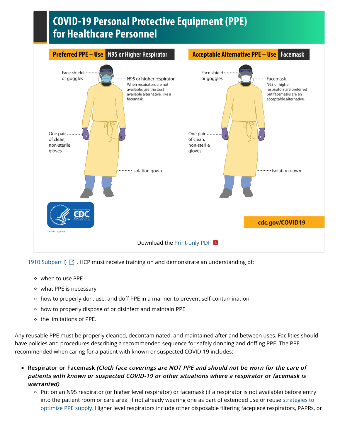## **COVID-19 Personal Protective Equipment (PPE)** for Healthcare Personnel



1910 Subpart I)  $\boxdot$  [. HCP must receive training on and demonstrate an understanding of:](https://www.osha.gov/laws-regs/regulations/standardnumber/1910)

- when to use PPE
- what PPE is necessary
- how to properly don, use, and doff PPE in a manner to prevent self-contamination
- how to properly dispose of or disinfect and maintain PPE
- o the limitations of PPE.

Any reusable PPE must be properly cleaned, decontaminated, and maintained after and between uses. Facilities should have policies and procedures describing a recommended sequence for safely donning and doffing PPE. The PPE recommended when caring for a patient with known or suspected COVID-19 includes:

- Respirator or Facemask (Cloth face coverings are NOT PPE and should not be worn for the care of patients with known or suspected COVID-19 or other situations where a respirator or facemask is warranted)
	- Put on an N95 respirator (or higher level respirator) or facemask (if a respirator is not available) before entry [into the patient room or care area, if not already wearing one as part of extended use or reuse strategies to](https://www.cdc.gov/coronavirus/2019-ncov/hcp/ppe-strategy/index.html) optimize PPE supply. Higher level respirators include other disposable filtering facepiece respirators, PAPRs, or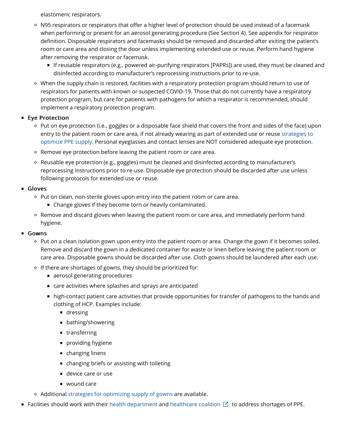elastomeric respirators.

- N95 respirators or respirators that offer a higher level of protection should be used instead of a facemask when performing or present for an aerosol generating procedure (See Section 4). See appendix for respirator definition. Disposable respirators and facemasks should be removed and discarded after exiting the patient's room or care area and closing the door unless implementing extended use or reuse. Perform hand hygiene after removing the respirator or facemask.
	- If reusable respirators (e.g., powered air-purifying respirators [PAPRs]) are used, they must be cleaned and disinfected according to manufacturer's reprocessing instructions prior to re-use.
- When the supply chain is restored, facilities with a respiratory protection program should return to use of respirators for patients with known or suspected COVID-19. Those that do not currently have a respiratory protection program, but care for patients with pathogens for which a respirator is recommended, should implement a respiratory protection program.

#### • Eye Protection

- Put on eye protection (i.e., goggles or a disposable face shield that covers the front and sides of the face) upon [entry to the patient room or care area, if not already wearing as part of extended use or reuse strategies to](https://www.cdc.gov/coronavirus/2019-ncov/hcp/ppe-strategy/eye-protection.html) optimize PPE supply. Personal eyeglasses and contact lenses are NOT considered adequate eye protection.
- Remove eye protection before leaving the patient room or care area.
- $\circ$  Reusable eye protection (e.g., goggles) must be cleaned and disinfected according to manufacturer's reprocessing instructions prior to re-use. Disposable eye protection should be discarded after use unless following protocols for extended use or reuse.

#### Gloves

- o Put on clean, non-sterile gloves upon entry into the patient room or care area.
	- **Change gloves if they become torn or heavily contaminated.**
- $\circ$  Remove and discard gloves when leaving the patient room or care area, and immediately perform hand hygiene.

#### Gowns

- $\circ$  Put on a clean isolation gown upon entry into the patient room or area. Change the gown if it becomes soiled. Remove and discard the gown in a dedicated container for waste or linen before leaving the patient room or care area. Disposable gowns should be discarded after use. Cloth gowns should be laundered after each use.
- o If there are shortages of gowns, they should be prioritized for:
	- aerosol generating procedures
	- care activities where splashes and sprays are anticipated
	- high-contact patient care activities that provide opportunities for transfer of pathogens to the hands and clothing of HCP. Examples include:
		- **dressing**
		- **bathing/showering**
		- transferring
		- **providing hygiene**
		- changing linens
		- changing briefs or assisting with toileting
		- device care or use
		- wound care
- Additional [strategies for optimizing supply of gowns](https://www.cdc.gov/coronavirus/2019-ncov/hcp/ppe-strategy/isolation-gowns.html) are available.
- Facilities should work with their [health department](https://www.cdc.gov/hai/state-based/index.html) and [healthcare coalition](https://www.phe.gov/Preparedness/planning/hpp/Pages/find-hc-coalition.aspx)  $\boxtimes$  to address shortages of PPE.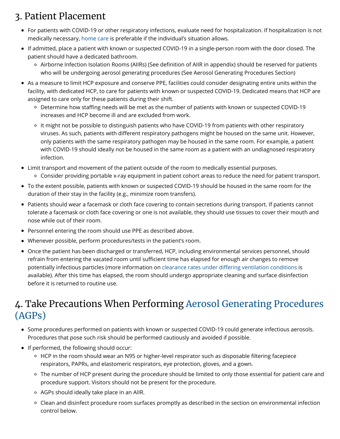## 3. Patient Placement

- For patients with COVID-19 or other respiratory infections, evaluate need for hospitalization. If hospitalization is not medically necessary, [home care](https://www.cdc.gov/coronavirus/2019-ncov/hcp/guidance-home-care.html) is preferable if the individual's situation allows.
- If admitted, place a patient with known or suspected COVID-19 in a single-person room with the door closed. The patient should have a dedicated bathroom.
	- Airborne Infection Isolation Rooms (AIIRs) (See definition of AIIR in appendix) should be reserved for patients who will be undergoing aerosol generating procedures (See Aerosol Generating Procedures Section)
- As a measure to limit HCP exposure and conserve PPE, facilities could consider designating entire units within the facility, with dedicated HCP, to care for patients with known or suspected COVID-19. Dedicated means that HCP are assigned to care only for these patients during their shift.
	- Determine how staffing needs will be met as the number of patients with known or suspected COVID-19 increases and HCP become ill and are excluded from work.
	- It might not be possible to distinguish patients who have COVID-19 from patients with other respiratory viruses. As such, patients with different respiratory pathogens might be housed on the same unit. However, only patients with the same respiratory pathogen may be housed in the same room. For example, a patient with COVID-19 should ideally not be housed in the same room as a patient with an undiagnosed respiratory infection.
- Limit transport and movement of the patient outside of the room to medically essential purposes. Consider providing portable x-ray equipment in patient cohort areas to reduce the need for patient transport.
- To the extent possible, patients with known or suspected COVID-19 should be housed in the same room for the duration of their stay in the facility (e.g., minimize room transfers).
- Patients should wear a facemask or cloth face covering to contain secretions during transport. If patients cannot tolerate a facemask or cloth face covering or one is not available, they should use tissues to cover their mouth and nose while out of their room.
- Personnel entering the room should use PPE as described above.
- Whenever possible, perform procedures/tests in the patient's room.
- Once the patient has been discharged or transferred, HCP, including environmental services personnel, should refrain from entering the vacated room until sufficient time has elapsed for enough air changes to remove potentially infectious particles (more information on clearance rates under diff[ering ventilation conditions](https://www.cdc.gov/infectioncontrol/guidelines/environmental/appendix/air.html#tableb1) is available). After this time has elapsed, the room should undergo appropriate cleaning and surface disinfection before it is returned to routine use.

### [4. Take Precautions When Performing Aerosol Generating Procedures](https://www.cdc.gov/coronavirus/2019-ncov/hcp/infection-control-faq.html) (AGPs)

- Some procedures performed on patients with known or suspected COVID-19 could generate infectious aerosols. Procedures that pose such risk should be performed cautiously and avoided if possible.
- If performed, the following should occur:
	- HCP in the room should wear an N95 or higher-level respirator such as disposable filtering facepiece respirators, PAPRs, and elastomeric respirators, eye protection, gloves, and a gown.
	- The number of HCP present during the procedure should be limited to only those essential for patient care and procedure support. Visitors should not be present for the procedure.
	- AGPs should ideally take place in an AIIR.
	- Clean and disinfect procedure room surfaces promptly as described in the section on environmental infection control below.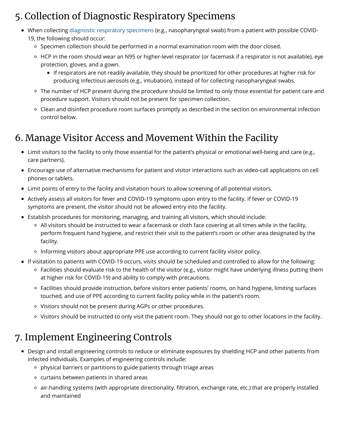## 5. Collection of Diagnostic Respiratory Specimens

- When collecting [diagnostic respiratory specimens](https://www.cdc.gov/coronavirus/2019-nCoV/lab/guidelines-clinical-specimens.html) (e.g., nasopharyngeal swab) from a patient with possible COVID-19, the following should occur:
	- $\circ$  Specimen collection should be performed in a normal examination room with the door closed.
	- $\circ$  HCP in the room should wear an N95 or higher-level respirator (or facemask if a respirator is not available), eye protection, gloves, and a gown.
		- If respirators are not readily available, they should be prioritized for other procedures at higher risk for producing infectious aerosols (e.g., intubation), instead of for collecting nasopharyngeal swabs.
	- The number of HCP present during the procedure should be limited to only those essential for patient care and procedure support. Visitors should not be present for specimen collection.
	- Clean and disinfect procedure room surfaces promptly as described in the section on environmental infection control below.

### 6. Manage Visitor Access and Movement Within the Facility

- Limit visitors to the facility to only those essential for the patient's physical or emotional well-being and care (e.g., care partners).
- Encourage use of alternative mechanisms for patient and visitor interactions such as video-call applications on cell phones or tablets.
- Limit points of entry to the facility and visitation hours to allow screening of all potential visitors.
- Actively assess all visitors for fever and COVID-19 symptoms upon entry to the facility. If fever or COVID-19 symptoms are present, the visitor should not be allowed entry into the facility.
- Establish procedures for monitoring, managing, and training all visitors, which should include:
	- All visitors should be instructed to wear a facemask or cloth face covering at all times while in the facility, perform frequent hand hygiene, and restrict their visit to the patient's room or other area designated by the facility.
	- Informing visitors about appropriate PPE use according to current facility visitor policy.
- If visitation to patients with COVID-19 occurs, visits should be scheduled and controlled to allow for the following:
	- Facilities should evaluate risk to the health of the visitor (e.g., visitor might have underlying illness putting them at higher risk for COVID-19) and ability to comply with precautions.
	- Facilities should provide instruction, before visitors enter patients' rooms, on hand hygiene, limiting surfaces touched, and use of PPE according to current facility policy while in the patient's room.
	- <sup>o</sup> Visitors should not be present during AGPs or other procedures.
	- Visitors should be instructed to only visit the patient room. They should not go to other locations in the facility.

## 7. Implement Engineering Controls

- Design and install engineering controls to reduce or eliminate exposures by shielding HCP and other patients from infected individuals. Examples of engineering controls include:
	- physical barriers or partitions to guide patients through triage areas
	- curtains between patients in shared areas
	- air-handling systems (with appropriate directionality, filtration, exchange rate, etc.) that are properly installed and maintained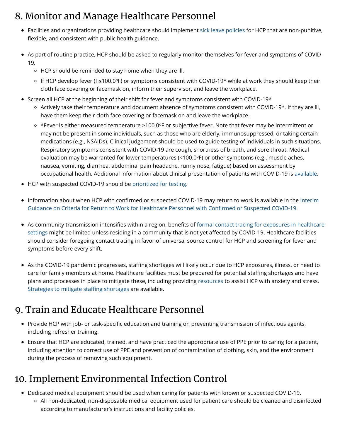## 8. Monitor and Manage Healthcare Personnel

- Facilities and organizations providing healthcare should implement [sick leave policies](https://www.cdc.gov/infectioncontrol/guidelines/healthcare-personnel/index.html) for HCP that are non-punitive, flexible, and consistent with public health guidance.
- As part of routine practice, HCP should be asked to regularly monitor themselves for fever and symptoms of COVID-19.
	- HCP should be reminded to stay home when they are ill.
	- lf HCP develop fever (T≥100.0ºF) or symptoms consistent with COVID-19\* while at work they should keep their cloth face covering or facemask on, inform their supervisor, and leave the workplace.
- Screen all HCP at the beginning of their shift for fever and symptoms consistent with COVID-19\*
	- $\circ$  Actively take their temperature and document absence of symptoms consistent with COVID-19\*. If they are ill, have them keep their cloth face covering or facemask on and leave the workplace.
	- \*Fever is either measured temperature  $\geq$ 100.0ºF or subjective fever. Note that fever may be intermittent or may not be present in some individuals, such as those who are elderly, immunosuppressed, or taking certain medications (e.g., NSAIDs). Clinical judgement should be used to guide testing of individuals in such situations. Respiratory symptoms consistent with COVID-19 are cough, shortness of breath, and sore throat. Medical evaluation may be warranted for lower temperatures (<100.0°F) or other symptoms (e.g., muscle aches, nausea, vomiting, diarrhea, abdominal pain headache, runny nose, fatigue) based on assessment by occupational health. Additional information about clinical presentation of patients with COVID-19 is [available](https://www.cdc.gov/coronavirus/2019-ncov/hcp/clinical-guidance-management-patients.html).
- HCP with suspected COVID-19 should be [prioritized for testing](https://www.cdc.gov/coronavirus/2019-nCoV/hcp/clinical-criteria.html).
- Information about when HCP with confirmed or suspected COVID-19 may return to work is available in the Interim [Guidance on Criteria for Return to Work for Healthcare Personnel with Con](https://www.cdc.gov/coronavirus/2019-ncov/healthcare-facilities/hcp-return-work.html)firmed or Suspected COVID-19.
- As community transmission intensifies within a region, benefits of formal contact tracing for exposures in healthcare [settings might be limited unless residing in a community that is not yet a](https://www.cdc.gov/coronavirus/2019-ncov/hcp/guidance-risk-assesment-hcp.html)ffected by COVID-19. Healthcare facilities should consider foregoing contact tracing in favor of universal source control for HCP and screening for fever and symptoms before every shift.
- As the COVID-19 pandemic progresses, staffing shortages will likely occur due to HCP exposures, illness, or need to care for family members at home. Healthcare facilities must be prepared for potential staffing shortages and have plans and processes in place to mitigate these, including providing [resources](https://www.cdc.gov/coronavirus/2019-ncov/prepare/managing-stress-anxiety.html) to assist HCP with anxiety and stress. [Strategies to mitigate sta](https://www.cdc.gov/coronavirus/2019-ncov/hcp/mitigating-staff-shortages.html)ffing shortages are available.

## 9. Train and Educate Healthcare Personnel

- Provide HCP with job- or task-specific education and training on preventing transmission of infectious agents, including refresher training.
- Ensure that HCP are educated, trained, and have practiced the appropriate use of PPE prior to caring for a patient, including attention to correct use of PPE and prevention of contamination of clothing, skin, and the environment during the process of removing such equipment.

## 10. Implement Environmental Infection Control

Dedicated medical equipment should be used when caring for patients with known or suspected COVID-19. All non-dedicated, non-disposable medical equipment used for patient care should be cleaned and disinfected according to manufacturer's instructions and facility policies.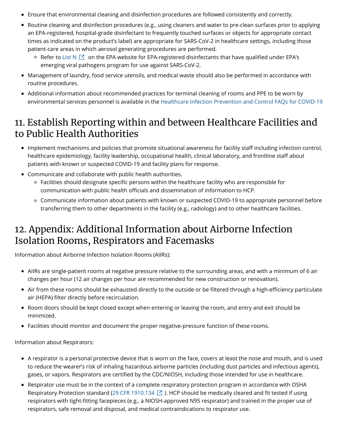- Ensure that environmental cleaning and disinfection procedures are followed consistently and correctly.
- Routine cleaning and disinfection procedures (e.g., using cleaners and water to pre-clean surfaces prior to applying an EPA-registered, hospital-grade disinfectant to frequently touched surfaces or objects for appropriate contact times as indicated on the product's label) are appropriate for SARS-CoV-2 in healthcare settings, including those patient-care areas in which aerosol generating procedures are performed.
	- Refer to [List N](https://www.epa.gov/pesticide-registration/list-n-disinfectants-use-against-sars-cov-2)  $\boxdot$  on the EPA website for EPA-registered disinfectants that have qualified under EPA's emerging viral pathogens program for use against SARS-CoV-2.
- Management of laundry, food service utensils, and medical waste should also be performed in accordance with routine procedures.
- Additional information about recommended practices for terminal cleaning of rooms and PPE to be worn by environmental services personnel is available in the [Healthcare Infection Prevention and Control FAQs for COVID-19](https://www.cdc.gov/coronavirus/2019-ncov/infection-control/infection-prevention-control-faq.html)

### 11. Establish Reporting within and between Healthcare Facilities and to Public Health Authorities

- Implement mechanisms and policies that promote situational awareness for facility staff including infection control, healthcare epidemiology, facility leadership, occupational health, clinical laboratory, and frontline staff about patients with known or suspected COVID-19 and facility plans for response.
- Communicate and collaborate with public health authorities.
	- $\circ$  Facilities should designate specific persons within the healthcare facility who are responsible for communication with public health officials and dissemination of information to HCP.
	- Communicate information about patients with known or suspected COVID-19 to appropriate personnel before transferring them to other departments in the facility (e.g., radiology) and to other healthcare facilities.

### 12. Appendix: Additional Information about Airborne Infection Isolation Rooms, Respirators and Facemasks

Information about Airborne Infection Isolation Rooms (AIIRs):

- AIIRs are single-patient rooms at negative pressure relative to the surrounding areas, and with a minimum of 6 air changes per hour (12 air changes per hour are recommended for new construction or renovation).
- Air from these rooms should be exhausted directly to the outside or be filtered through a high-efficiency particulate air (HEPA) filter directly before recirculation.
- Room doors should be kept closed except when entering or leaving the room, and entry and exit should be minimized.
- Facilities should monitor and document the proper negative-pressure function of these rooms.

Information about Respirators:

- A respirator is a personal protective device that is worn on the face, covers at least the nose and mouth, and is used to reduce the wearer's risk of inhaling hazardous airborne particles (including dust particles and infectious agents), gases, or vapors. Respirators are certified by the CDC/NIOSH, including those intended for use in healthcare.
- Respirator use must be in the context of a complete respiratory protection program in accordance with OSHA Respiratory Protection standard [\(29 CFR 1910.134](https://www.osha.gov/pls/oshaweb/owadisp.show_document?p_table=STANDARDS&p_id=12716)  $\boxtimes$  ). HCP should be medically cleared and fit tested if using respirators with tight-fitting facepieces (e.g., a NIOSH-approved N95 respirator) and trained in the proper use of respirators, safe removal and disposal, and medical contraindications to respirator use.